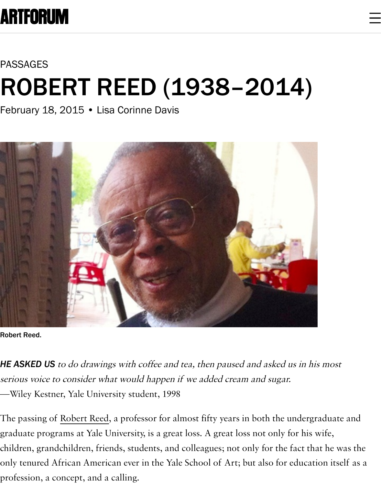## PASSAGES

## [ROBER](https://www.artforum.com/)T REED (1938–2014)

February 18, 2015 • Lisa Corinne Davis



Robert Reed.

**HE ASKED US** to do drawings with coffee and tea, then paused and asked us in his i [serious voice to consider what would happen if we added cream and sugar.](https://www.artforum.com/passages/lisa-corinne-davis-on-robert-reed-1938-2014-50354#) —Wiley Kestner, Yale University student, 1998

The passing of Robert Reed, a professor for almost fifty years in both the undergraduate and graduate programs at Yale University, is a great loss. A great loss not only for his wi children, grandchildren, friends, students, and colleagues; not only for the fact that only tenured African American ever in the Yale School of Art; but also for educatio profession, a c[oncept, and a](https://www.artforum.com/search?search=Robert%20Reed) calling.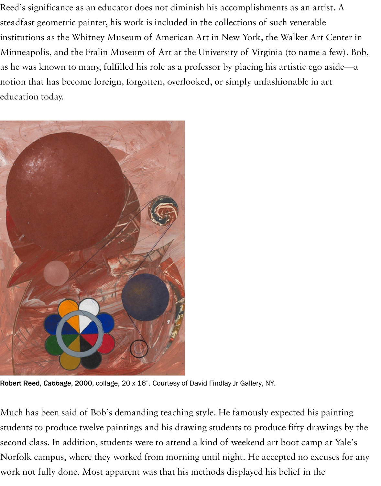as he was known to many, fulfilled his role as a professor by placing his artistic ego notion that has become foreign, forgotten, overlooked, or simply unfashionable in  $\varepsilon$ education today.



Robert Reed, *Cabbage*, 2000, collage, 20 x 16". Courtesy of David Findlay Jr Gallery, NY.

[Much has been said of Bob's demanding teaching style. He famously ex](https://www.artforum.com/passages/lisa-corinne-davis-on-robert-reed-1938-2014-50354#)pected his p students to produce twelve paintings and his drawing students to produce fifty draw second class. In addition, students were to attend a kind of weekend art boot camp Norfolk campus, where they worked from morning until night. He accepted no exc work not fully done. Most apparent was that his methods displayed his belief in the